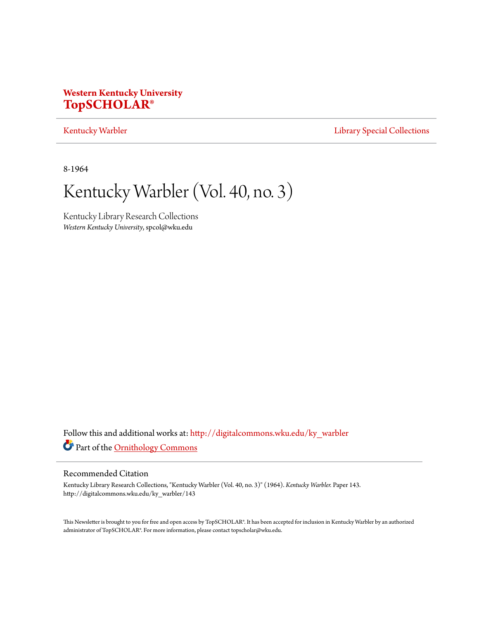# **Western Kentucky University [TopSCHOLAR®](http://digitalcommons.wku.edu?utm_source=digitalcommons.wku.edu%2Fky_warbler%2F143&utm_medium=PDF&utm_campaign=PDFCoverPages)**

# [Kentucky Warbler](http://digitalcommons.wku.edu/ky_warbler?utm_source=digitalcommons.wku.edu%2Fky_warbler%2F143&utm_medium=PDF&utm_campaign=PDFCoverPages) **[Library Special Collections](http://digitalcommons.wku.edu/dlsc?utm_source=digitalcommons.wku.edu%2Fky_warbler%2F143&utm_medium=PDF&utm_campaign=PDFCoverPages)**

8-1964

# Kentucky Warbler (Vol. 40, no. 3)

Kentucky Library Research Collections *Western Kentucky University*, spcol@wku.edu

Follow this and additional works at: [http://digitalcommons.wku.edu/ky\\_warbler](http://digitalcommons.wku.edu/ky_warbler?utm_source=digitalcommons.wku.edu%2Fky_warbler%2F143&utm_medium=PDF&utm_campaign=PDFCoverPages) Part of the [Ornithology Commons](http://network.bepress.com/hgg/discipline/1190?utm_source=digitalcommons.wku.edu%2Fky_warbler%2F143&utm_medium=PDF&utm_campaign=PDFCoverPages)

# Recommended Citation

Kentucky Library Research Collections, "Kentucky Warbler (Vol. 40, no. 3)" (1964). *Kentucky Warbler.* Paper 143. http://digitalcommons.wku.edu/ky\_warbler/143

This Newsletter is brought to you for free and open access by TopSCHOLAR®. It has been accepted for inclusion in Kentucky Warbler by an authorized administrator of TopSCHOLAR®. For more information, please contact topscholar@wku.edu.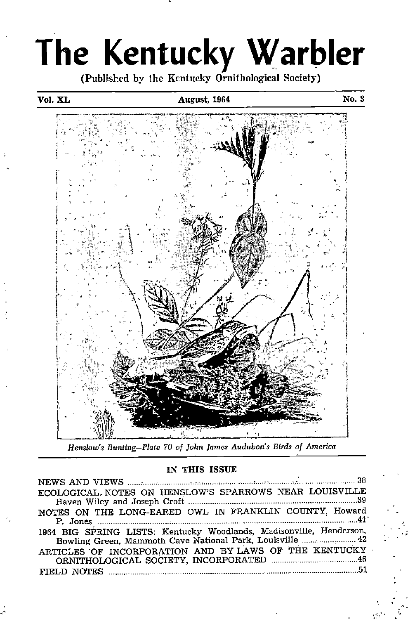# The Kentucky Warbler

(Published by the Kentucky Ornithological Society)

# Vol. XL **August, 1964** No. 3



Henslow's Bunting—Plate 70 of John James Audubon's Birds of America

# IN THIS ISSUE

| ECOLOGICAL. NOTES ON HENSLOW'S SPARROWS NEAR LOUISVILLE                                                                          |
|----------------------------------------------------------------------------------------------------------------------------------|
| NOTES ON THE LONG-EARED OWL IN FRANKLIN COUNTY, Howard<br>P. Jones $\ldots$ $41$                                                 |
| 1964 BIG SPRING LISTS: Kentucky Woodlands, Madisonville, Henderson,<br>Bowling Green, Mammoth Cave National Park, Louisville  42 |
| ARTICLES OF INCORPORATION AND BY-LAWS OF THE KENTUCKY                                                                            |
|                                                                                                                                  |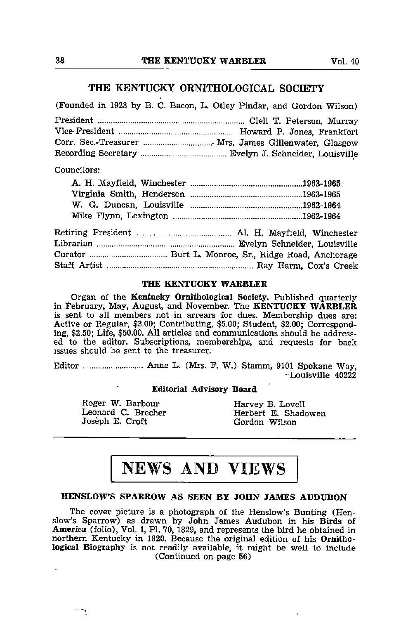# THE KENTUCKY ORNITHOLOGICAL SOCIETY

|             | (Founded in 1923 by B. C. Bacon, L. Otley Pindar, and Gordon Wilson) |
|-------------|----------------------------------------------------------------------|
|             |                                                                      |
|             |                                                                      |
|             | Corr. Sec.-Treasurer  Mrs. James Gillenwater, Glasgow                |
|             |                                                                      |
| Councilors: |                                                                      |
|             |                                                                      |
|             |                                                                      |
|             |                                                                      |
|             |                                                                      |
|             |                                                                      |
|             |                                                                      |
|             |                                                                      |
|             |                                                                      |

# THE KENTUCKY WARBLER

Organ of the Kentucky Ornithological Society. Published quarterly in February, May, August, and November. The KENTUCKY WARBLER is sent to all members not in arrears for dues. Membership dues are: Active or Regular, \$3.00; Contributing, \$5.00; Student, \$2.00; Corresponding, \$2.50; Life, \$50.00. All articles and communications should be address ed to the editor. Subscriptions, memberships, and requests for back issues should be sent to the treasurer.

Editor Anne L. (Mrs. F. W.) Stamm, 9101 Spokane Way, -Louisville 40222

# Editorial Advisory Board

Roger W. Barbour **Harvey B. Lovell**<br>Leonard C. Brecher **Herbert E. Shad** 

 $\mathcal{L}_{\mathcal{A}}$ 

Leonard C. Brecher Herbert E. Shadowen<br>
Joseph E. Croft Herbert E. Shadowen Gordon Wilson

# NEWS AND VIEWS

# HENSLOW'S SPARROW AS SEEN BY JOHN JAMES AUDUBON

The cover picture is a photograph of the Henslow's Bunting (Henslow's Sparrow) as drawn by John James Audubon in his Birds of America (folio). Vol. 1, PI. 70, 1829, and represents the bird he obtained in northern Kentucky in 1820. Because the original edition of his Ornitho logical Biography is not readily available, it might be well to include (Continued on page 56)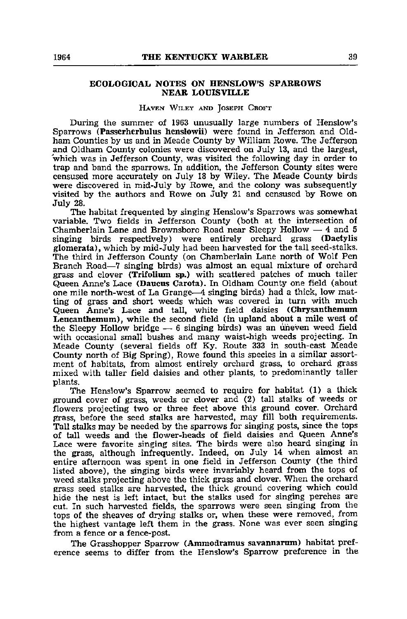# ECOLOGICAL NOTES ON HENSLOW'S SPARROWS NEAR LOUISVILLE

## HAVEN WILEY AND JOSEPH CROFT

During the summer of 1963 unusually large numbers of Henslow's Sparrows (Passerherbulus henslowii) were found in Jefferson and Oldham Counties by us and in Meade County by William Rowe. The Jefferson and Oldham County colonies were discovered on July 13, and the largest, which was in Jefferson County, was visited the following day in order to trap and band the sparrows. In addition, the Jefferson County sites were censused more accurately on July 18 by Wiley. The Meade County birds were discovered in mid-July by Rowe, and the colony was subsequently visited by the authors and Rowe on July 21 and censused by Rowe on July 28.

The habitat frequented by singing Henslow's Sparrows was somewhat variable. Two fields in Jefferson County (both at the intersection of Chamberlain Lane and Brownsboro Road near Sleepy Hollow — 4 and 5 singing birds respectively) were entirely orchard grass (Dactylis glomerata), which by mid-July had been harvested for the tall seed-stalks. The third in Jefferson County (on Chamberlain Lane north of Wolf Pen Branch Road—7 singing birds) was almost an equal mixture of orchard grass and clover (Trifolium sp.) with scattered patches of much taller Queen Anne's Lace (Daucus Carota). In Oldham County one field (about one mile north-west of La Grange—4 singing birds) had a thick, low mat ting of grass and short weeds which was covered in turn with much Queen Anne's Lace and tall, white field daisies (Chrysanthemum Leucanthemum), while the second field (in upland about a mile west of the Sleepy Hollow bridge  $-6$  singing birds) was an uneven weed field with occasional small bushes and many waist-high weeds projecting. In Meade County (several fields off Ky. Route 333 in south-east Meade County north of Big Spring), Rowe found this species in a similar assort ment of habitats, from almost entirely orchard grass, to orchard grass mixed with taller field daisies and other plants, to predominantly taller plants.

The Henslow's Sparrow seemed to require for habitat (1) a thick ground cover of grass, weeds or clover and (2) tall stalks of weeds or flowers projecting two or three feet above this ground cover. Orchard grass, before the seed stalks are harvested, may fill both requirements. Tall stalks may be needed by the sparrows for singing posts, since the tops of tall weeds and the flower-heads of field daisies and Queen Anne's Lace were favorite singing sites. The birds were also heard singing in the grass, although infrequently. Indeed, on July 14 when almost an entire afternoon was spent in one field in Jefferson County (the third listed above), the singing birds were invariably heard from the tops of weed stalks projecting above the thick grass and clover. When the orchard grass seed stalks are harvested, the thick ground covering which could hide the nest is left intact, but the stalks used for singing perches are cut. In such harvested fields, the sparrows were seen singing from the tops of the sheaves of drying stalks or, when these were removed, from the highest vantage left them in the grass. None was ever seen singing from a fence or a fence-post.

The Grasshopper Sparrow (Ammodramus savannarum) habitat preference seems to differ from the Henslow's Sparrow preference in the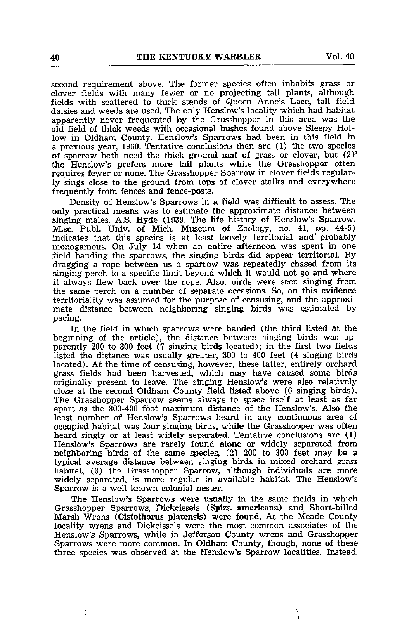second requirement above. The former species often inhabits grass or clover fields with many fewer or no projecting tall plants, although fields with scattered to thick stands of Queen Anne's Lace, tall field daisies and weeds are used. The only Henslow's locality which had habitat apparently never frequented by the Grasshopper in this area was the old field of thick weeds with occasional bushes found above Sleepy Hol low in Oldham County. Henslow's Sparrows had been in this field in a previous year, 1960. Tentative conclusions then are (1) the two species of sparrow both need the thick ground mat of grass or clover, but  $(2)^{n}$ the Henslow's prefers more tall plants while the Grasshopper often requires fewer or none. The Grasshopper Sparrow in clover fields regular ly sings close to the ground from tops of clover stalks and everywhere frequently from fences and fence-posts.

Density of Henslow's Sparrows in a field was difficult to assess. The only practical means was to estimate the approximate distance between singing males. A.S. Hyde (1939. The life history of Henslow's Sparrow. Misc. Publ. Univ. of Mich. Museum of Zoology, no. 41, pp. 44-5) indicates that this species is at least loosely territorial and' probably monogamous. On July <sup>14</sup> when an entire afternoon was spent in one field banding the sparrows, the singing birds did appear territorial. By dragging a rope between us a sparrow was repeatedly chased from its singing perch to a specific limit beyond which it would not go and where it always flew back over the rope. Also, birds were seen singing from the same perch on a number of separate occasions. So, on this evidence territoriality was assumed for the purpose of censusing, and the approxi mate distance between neighboring singing birds was estimated by pacing.

In the field in which sparrows were banded (the third listed at the beginning of the article), the distance between singing birds was ap parently 200 to 300 feet (7 singing birds located); in the first two fields listed the distance was usually greater, 300 to 400 feet (4 singing birds located). At the time of censusing, however, these latter, entirely orchard grass fields had been harvested, which may have caused some birds originally present to leave. The singing Henslow's were also relatively close at the second Oldham County field listed above (6 singing birds). The Grasshopper Sparrow seems always to space itself at least as far apart as the 300-400 foot maximum distance of the Henslow's. Also the least number of Henslow's Sparrows heard in any continuous area of occupied habitat was four singing birds, while the Grasshopper was often heard singly or at least widely separated. Tentative conclusions are (1) Henslow's Sparrows are rarely found alone or widely separated from neighboring birds of the same species, (2) 200 to 300 feet may be a typical average distance between singing birds in mixed orchard grass habitat, (3) the Grasshopper Sparrow, although individuals are more widely separated, is more regular in available habitat. The Henslow's Sparrow is a well-known colonial nester.

The Henslow's Sparrows were usually in the same fields in which Grasshopper Sparrows, Dickcissels (Spiza americana) and Short-billed Marsh Wrens (Cistothorus platensis) were found. At the Meade County locality wrens and Dickcissels were the most common associates of the Henslow's Sparrows, while in Jefferson County wrens and Grasshopper Sparrows were more common. In Oldham County, though, none of these three species was observed at the Henslow's Sparrow localities. Instead,

ŀ.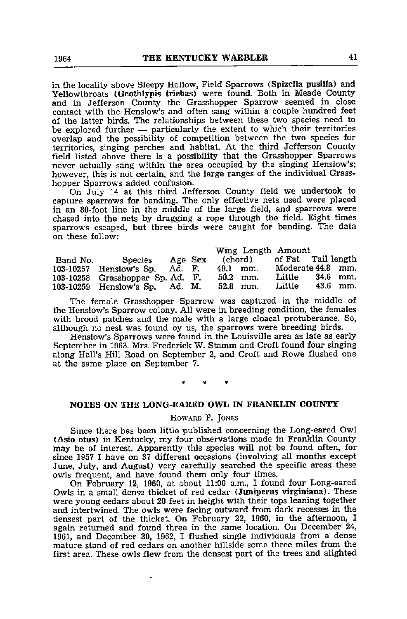in the locality above Sleepy Hollow, Field Sparrows (Spizella pusilla) and Yellowthroats (Geothlypis trichas) were found. Both in Meade County and in Jefferson County the Grasshopper Sparrow seemed in close contact with the Henslow's and often sang within a couple hundred feet of the latter birds. The relationships between these two species need to be explored further — particularly the extent to which their territories overlap and the possibility of competition between the two species for territories, singing perches and habitat. At the third Jefferson County field listed above there is a possibility that the Grasshopper Sparrows never actually sang within the area occupied by the singing Henslow's; however, this is not certain, and the large ranges of the individual Grass hopper Sparrows added confusion.

On July 14 at this third Jefferson County field we undertook to capture sparrows for banding. The only effective nets used were placed in an 80-foot line in the middle of the large field, and sparrows were chased into the nets by dragging a rope through the field. Eight times sparrows escaped, but three birds were caught for banding. The data on these follow:

|          |                                    |         |            | Wing Length Amount |          |
|----------|------------------------------------|---------|------------|--------------------|----------|
| Band No. | Species                            | Age Sex | (chord)    | of Fat Tail length |          |
|          | 103-10257 Henslow's Sp. Ad. F.     |         | 49.1 mm.   | Moderate 44.8 mm.  |          |
|          | $103-10258$ Grasshopper Sp. Ad. F. |         | $50.2$ mm. | Little             | 34.6 mm. |
|          | 103-10259 Henslow's Sp. Ad. M.     |         | $52.8$ mm. | Little             | 43.6 mm. |

The female Grasshopper Sparrow was captured in the middle of the Henslow's Sparrow colony. All were in breeding condition, the females with brood patches and the male with a large cloacal protuberance. So, although no nest was found by us, the sparrows were breeding birds.

Henslow's Sparrows were found in the Louisville area as late as early September in 1963. Mrs. Frederick W. Stamm and Croft found four singing along Hall's Hill Road on September 2, and Croft and Rowe flushed one at the same place on September 7.

# NOTES ON THE LONG-EARED OWL IN FRANKLIN COUNTY

Howard P. Jones

Since there has been little published concerning the Long-eared Owl (Asio otus) in Kentucky, my four observations made in Franklin County may be of interest. Apparently this species will not be found often, for since 1957 I have on 37 different occasions (involving all months except June, July, and August) very carefully searched the specific areas these owls frequent, and have found them only four times.

On February 12, 1960, at about 11:00 a.m., I found four Long-eared Owls in a small dense thicket of red cedar (Juniperus virginiana). These were young cedars about 20 feet in height with their tops leaning together and intertwined. The owls were facing outward from dark recesses in the densest part of the thicket. On February 22, 1960, in the afternoon, I again returned and found three in the same location. On December 24, 1961, and December 30, 1962, I flushed single individuals from a dense mature stand of red cedars on another hillside some three miles from the first area. These owls flew from the densest part of the trees and alighted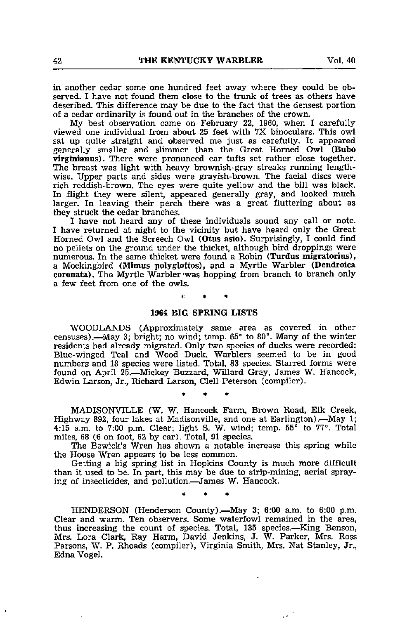in another cedar some one hundred feet away where they could be ob served. <sup>I</sup> have not found them close to the trunk of trees as others have described. This difference may be due to the fact that the densest portion of a cedar ordinarily is found out in the branches of the crown.

My best observation came on February 22, 1960, when I carefully viewed one individual from about 25 feet with 7X binoculars. This owl sat up quite straight and observed me just as carefully. It appeared generally smaller and slimmer than the Great Horned Owl (Bubo virginianus). There were pronunced ear tufts set rather close together. The breast was light with heavy brownish-gray streaks running lengthwise. Upper parts and sides were grayish-brown. The facial discs were rich reddish-brown. The eyes were quite yellow and the bill was black. In flight they were silent, appeared generally gray, and looked much larger. In leaving their perch there was a great fluttering about as they struck the cedar branches.

I have not heard any of these individuals sound any call or note. I have returned at night to the vicinity but have heard only the Great Horned Owl and the Screech Owl (Otus asio). Surprisingly, I could find no pellets on the ground under the thicket, although bird droppings were numerous. In the same thicket were found a Robin (Turdus migratorius), a Mockingbird (Mimas polyglottos), and a Myrtle Warbler (Dendroica coronata). The Myrtle Warbler was hopping from branch to branch only <sup>a</sup> few feet from one of the owls.

# 1964 BIG SPRING LISTS

WOODLANDS (Approximately same area as covered in other censuses).—^May 3; bright; no wind; temp. 65° to 80®. Many of the winter residents had already migrated. Only two species of ducks were recorded: Blue-winged Teal and Wood Duck. Warblers seemed to be in good numbers and 18 species were listed. Total, 83 species. Starred forms were found on April 25.—Mickey Buzzard, Willard Gray, James W. Hancock, Edwin Larson, Jr., Richard Larson, Clell Peterson (compiler).

MADISONVILLE (W. W. Hancock Farm, Brown Road, Elk Creek, Highway 892, four lakes at Madisonville, and one at Earlington).—May 1; 4:15 a.m. to 7:00 p.m. Clear; light S. W. wind; temp.  $55^{\circ}$  to  $77^{\circ}$ . Total miles, 68 (6 on foot, 62 by car). Total, 91 species.

The Bewick's Wren has shown a notable increase this spring while the House Wren appears to be less common.

Getting a big spring list in Hopkins County is much more difficult than it used to be. In part, this may be due to strip-mining, aerial spray ing of insecticides, and pollution.—James W. Hancock.

HENDERSON (Henderson County).—May 3; 6:00 a.m. to 6:00 p.m. Clear and warm. Ten observers. Some waterfowl remained in the area, thus increasing the count of species. Total, 135 species.—King Benson, Mrs. Lora Clark, Ray Harm, David Jenkins, J. W. Parker, Mrs. Ross Parsons, W. P. Rhoads (compiler), Virginia Smith, Mrs. Nat Stanley, Jr., Edna Vogel.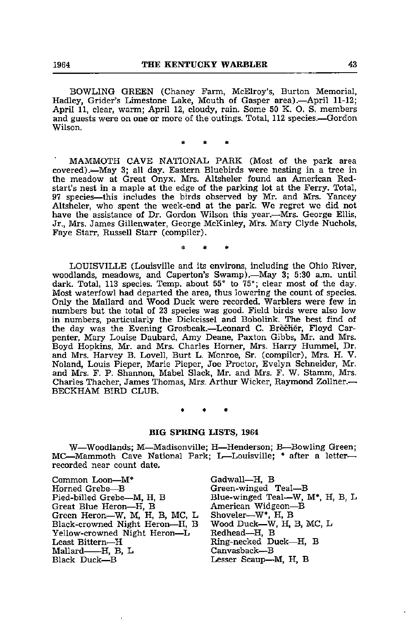BOWLING GREEN (Chaney Farm, McElroy's, Burton Memorial, Hadley, Grider's Limestone Lake, Mouth of Gasper area).—April 11-12; April 11, clear, warm; April 12, cloudy, rain. Some 50 K. O. S. members and guests were on one or more of the outings. Total, 112 species.—Gordon Wilson.

MAMMOTH CAVE NATIONAL PARK (Most of the park area covered).-May 3; all day. Eastern Bluebirds were nesting in a tree in the meadow at Great Onyx. Mrs. Altsheler found an American Red start's nest in a maple at the edge of the parking lot at the Ferry. Total, 97 species—this includes the birds observed by Mr. and Mrs. Yancey Altsheler, who spent the week-end at the park. We regret we did not have the assistance of Dr. Gordon Wilson this year.—Mrs. George Ellis, Jr., Mrs. James Gillenwater, George McKinley, Mrs. Mary Clyde Nuchols, Faye Starr, Russell Starr (compiler).

LOUISVILLE (Louisville and its environs, including the Ohio River, woodlands, meadows, and Caperton's Swamp),—May 3; 5:30 a.m. until dark. Total, 113 species. Temp, about 55° to 75°; clear most of the day. Most waterfowl had departed the area, thus lowering the count of species. Only the Mallard and Wood Duck were recorded. Warblers were few in numbers but the total of 23 species was good. Field birds were also low in numbers, particularly the Dickcissel and Bobolink. The best find of the day was the Evening Grosbeak.-Leonard C. Brecher, Floyd Carpenter, Mary Louise Daubard, Amy Deane, Paxton Gibbs, Mr. and Mrs. Boyd Hopkins, Mr. and Mrs. Charles Homer, Mrs. Harry Hummel, Dr. and Mrs. Harvey B. Lovell, Burt L. Monroe, Sr. (compiler), Mrs. H. V. Noland, Louis Pieper, Marie Pieper, Joe Proctor, Evelyn Schneider, Mr. and Mrs. F. P. Shannon, Mabel Slack, Mr. and Mrs. F. W. Stamm, Mrs. Charles Thacher, James Thomas, Mrs. Arthur Wicker, Raymond Zollner.— BECKHAM BIRD CLUB.

# BIG SPRING LISTS, 1964

W—Woodlands; M—Madisonville; H—Henderson; B—Bowling Green; MC—Mammoth Cave National Park; L—Louisville; \* after a letter recorded near count date.

Common Loon—M\* Gadwall—^H, B Horned Grebe—^B Green-winged Teal—B Great Blue Heron—H, B American Widgeon—<br>Green Heron—W, M, H, B, MC, L Shoveler—W\*, H, B Green Heron—W, M, H, B, MC, L Shoveler—W\*, H, B Black-crowned Night Heron—H, B, Wood Duck—W, Yellow-crowned Night Heron—L, Redhead—H, B Yellow-crowned Night Heron—L Redhead—H, B<br>
Least Bittern—H Ring-necked Duck—H, E Mallard H, B, L Canvasback—^B

Blue-winged Teal—W, M\*, H, B, L<br>American Widgeon—B Lesser Scaup—M, H, B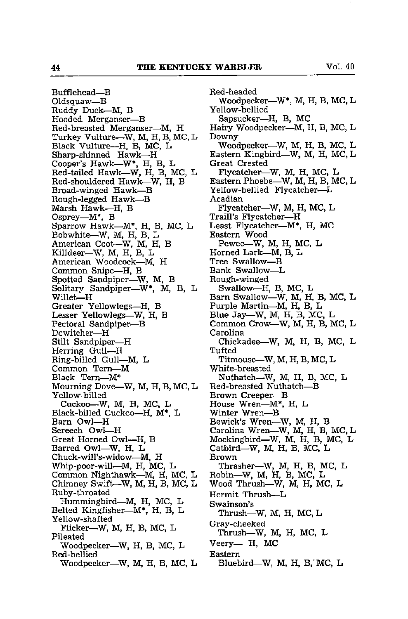Bufflehead—^B Oldsquaw—B Ruddy Duck—M, B Hooded Merganser—B Red-breasted Merganser—M, H Turkey Vulture—W, M, H, B, MC, L Black Vulture—H, B, MC, L Sharp-shinned Hawk—^H Cooper's Hawk—W<sup>\*</sup>, H, B, L Red-tailed Hawk—W, H, B, MC, L Red-shouldered Hawk—^W, H, B Broad-winged Hawk—B Rough-legged Hawk—B Marsh Hawk—^H, B Osprey—^M\*, B Sparrow Hawk—M\*, H, B, MC, L Bobwhite—W, M, H, B, L American Coot—W, M, H, B Killdeer-W, M, H, B, L American Woodcock—^M, H Common Snipe—^H, B Spotted Sandpiper—W, M, B Solitary Sandpiper—W\*, M, B, L Willet—H Greater Yellowlegs—^H, B Lesser Yellowlegs—^W, H, B Pectoral Sandpiper—^B Dowitcher—^H Stilt Sandpiper—^H Herring Gull— Ring-billed Gull—M, L Common Tern— Black Tern—^M\* Mourning Dove—^W, M, H, B, MC, L Yellow-billed Cuckoo—W, M, H, MC, L Black-billed Cuckoo—H, M\*, L Barn Owl—H Screech Owl—H Great Horned Owl—^H, B Barred Owl—W, H, L Chuck-will's-widow—^M, H Whip-poor-will—^M, H, MC, L Common Nighthawk—^M, H, MC, L Chimney Swift—W, M, H, B, MC, L Ruby-throated Hummingbird—^M, H, MC, L Belted Kingfisher—M\*, H, B, L Yellow-shafted FUcker—W, M, H, B, MC, L Pileated Woodpecker—^W, H, B, MC, L Red-bellied Woodpecker—W, M, H, B, MC, L Red-headed Woodpecker—^W\*, M, H, B, MC, L Yellow-bellied Sapsucker—H, B, MC Hairy Woodpecker—^M, H, B, MC, L Downy Woodpecker—W, M, H, B, MC, L Eastern Kingbird—W, M, H, MC, L Great Crested Flycatcher—W, M, H, MC, L Eastern Phoebe—W, M, H, B, MC, L Yellow-bellied Flycatcher—L Acadian Flycatcher—W, M, H, MC, L Traill's Flycatcher—H Least Flycatcher—M\*, H, MC Eastern Wood Pewee—W, M, H, MC, L Horned Lark—M, B, L Tree Swallow—^B Bank Swallow—^L Rough-winged SwaUow—H, B, MC, L Bam Swallow—W, M, H, B, MC, L Purple Martin—^M, H, B, L Blue Jay—W, M, H, B, MC, L Common Crow—^W, M, H, B, MC, L Carolina Chickadee—W, M, H, B, MC, L **Tufted** Titmouse—W, M, H, B, MC, L White-breasted Nuthatch—W, M, H, B, MC, L Red-breasted Nuthatch—B Brown Creeper—B House Wren—^M\*, H, L Winter Wren—^B Bewick's Wren—^W, M, H, B Carolina Wren—W, M, H, B, MC, L Mockingbird—W, M, H, B, MC, L Catbird—W, M, H, B, MC, L Brown Thrasher-W, M, H, B, MC, L Robin—W, M, H, B, MC, L Wood Thrush—W, M, H, MC, L Hermit Thrush—L Swainson's Thrush—W, M, H, MC, L Gray-cheeked Thrush—W, M, H, MC, L Veery— H, MC Eastern Bluebird—W, M, H, B.'MC, L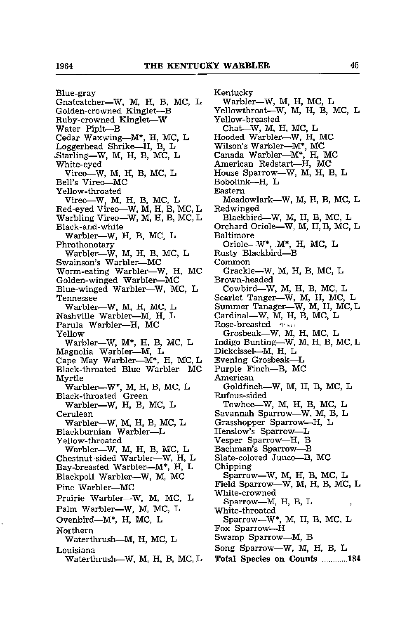Blue-gray Gnatcatcher—W, M, H, B, MC, L Golden-crowned Kinglet—B Ruby-crowned Kinglet—W Water Pipit—^B Cedar Waxwing—^M\*, H, MC, L Loggerhead Shrike—^H, B, L cStarling—W, M, H, B, MC, L White-eyed Vireo—W, M, H, B, MC, L Bell's Vireo—MC Yellow-throated Vireo—W, M, H, B, MC, L Red-eyed Vireo—W, M, H, B, MC, L Warbling Vireo-W, M, H, B, MC, L Black-and-white Warbler—W, H, B, MC, L Phrothonotary Warbler—W, M, H, B, MC, L Swainson's Warbler—^MC Worm-eating Warbler—W, H, MC Golden-winged Warbler—^MC Blue-winged Warbler—^W, MC, L Tennessee Warbler—W, M, H, MC, L Nashville Warbler—^M, H, L Parula Warbler—^H, MC Yellow Warbler—W, M\*, H, B, MC, L Magnolia Warbler—^M, L Cape May Warbler—^M\*, H, MC, L Black-throated Blue Warbler—MC Myrtle Warbler—W\*, M, H, B, MC, L Black-throated Green Warbler—W, H, B, MC, L Cerulean Warbler—W, M, H, B, MC, L Blackburnian Warbler—L Yellow-throated Warbler—W, M, H, B, MC, L Chestnut-sided Warbler—W, H, L Bay-breasted Warbler—M\*, H, L Blackpoll Warbler—W, M, MC Pine Warbler—^MC Prairie Warbler—W, M, MC, L Palm Warbler—W, M, MC, L Ovenbird—M\*, H, MC, L Northern Waterthrush—^M, H, MC, L Louisiana Waterthrush—W, M, H, B, MC, L Kentucky Warbler—W, M, H, MC, L Yellowthroat—W, M, H, B, MC, L Yellow-breasted Chat-W, M, H, MC, L Hooded Warbler-W, H, MC Wilson's Warbler—^M\*, MC Canada Warbler—M\*. H, MC American Redstart—H, MC House Sparrow—W, M, H, B, L Bobolink—H, L Eastern Meadowlark—^W, M, H, B, MC, L Redwinged Blackbird—W, M, H, B, MC, L Orchard Oriole—W, M, H, B, MC, L Baltimore Oriole—W\*, M\*, H, MC, L Rusty Blackbird—^B Common Grackle—W, M, H, B, MC, L Brown-headed Cowbird-W, M, H, B, MC, L Scarlet Tanger—W, M, H, MC, L Summer Tanager—W, M, H, MC, L Cardinal—W, M, H, B, MC, L  $Rose-breasted$   $\tau_{\text{max}}$ Grosbeak—W, M, H, MC, L Indigo Bunting—^W, M, H, B, MC, L Dickcissel—^M, H, L Evening Grosbeak—^L Purple Finch—^B, MC American Goldfinch—W, M, H, B, MC, L Rufous-sided Towhee—W, M, H, B, MC, L Savannah Sparrow—W, M, B, L Grasshopper Sparrow—^H, L Henslow's Sparrow—^L Vesper Sparrow—H, B Bachman's Sparrow—^B Slate-colored Junco—^B, MC Chipping Sparrow—W, M, H, B, MC, L Field Sparrow—W, M, H, B, MC, L White-crowned Sparrow—M, H, B, L , White-throated Sparrow—W\*, M, H, B, MC, L Fox Sparrow—H Swamp Sparrow—^M, B Song Sparrow—W, M, H, B, L Total Species on Counts ............184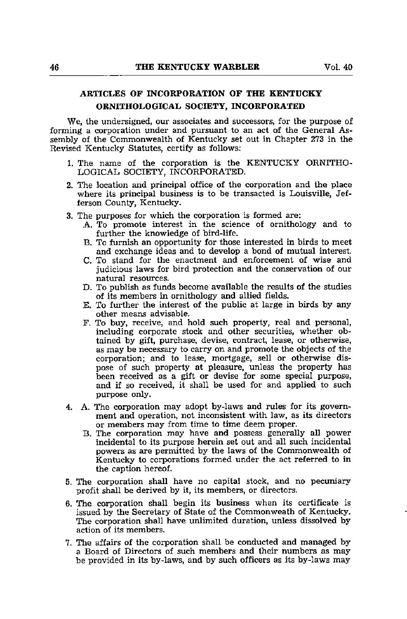# ARTICLES OF INCORPORATION OF THE KENTUCKY ORNITHOLOGICAL SOCIETY, INCORPORATED

We, the undersigned, our associates and successors, for the purpose of forming a corporation under and pursuant to an act of the General As sembly of the Commonwealth of Kentucky set out in Chapter 273 in the Revised Kentucky Statutes, certify as follows;

- 1. The name of the corporation is the KENTUCKY ORNITHO LOGICAL SOCIETY, INCORPORATED.
- 2. The location and principal office of the corporation and the place where its principal business is to be transacted is Louisville, Jef ferson County, Kentucky.
- 3. The purposes for which the corporation is formed are:
	- A. To promote interest in the science of ornithology and to further the knowledge of bird-life.
	- B. To furnish an opportunity for those interested in birds to meet and exchange ideas and to develop a bond of mutual interest.
	- C. To stand for the enactment and enforcement of wise and judicious laws for bird protection and the conservation of our natural resources.
	- D. To publish as funds become available the results of the studies of its members in ornithology and allied fields.
	- E. To further the interest of the public at large in birds by any other means advisable.
	- F. To buy, receive, and hold such property, real and personal, including corporate stock and other securities, whether ob tained by gift, purchase, devise, contract, lease, or otherwise, as may be necessary to carry on and promote the objects of the corporation; and to lease, mortgage, sell or otherwise dis pose of such property at pleasure, unless the property has been received as a gift or devise for some special purpose, and if so received, it shall be used for and applied to such purpose only.
- 4. A. The corporation may adopt by-laws and rules for its govern ment and operation, not inconsistent with law, as its directors or members may from time to time deem proper.
	- B. The corporation may have and possess generally all power incidental to its purpose herein set out and all such incidental powers as are permitted by the laws of the Commonwealth of Kentucky to corporations formed under the act referred to in the caption hereof.
- 5. The corporation shall have no capital stock, and no pecuniary profit shall be derived by it, its members, or directors.
- 6. The corporation shall begin its business when its certificate is issued by the Secretary of State of the Commonweath of Kentucky. The corporation shall have unlimited duration, unless dissolved by action of its members.
- 7. The affairs of the corporation shall be conducted and managed by a Board of Directors of such members and their numbers as may be provided in its by-laws, and by such officers as its by-laws may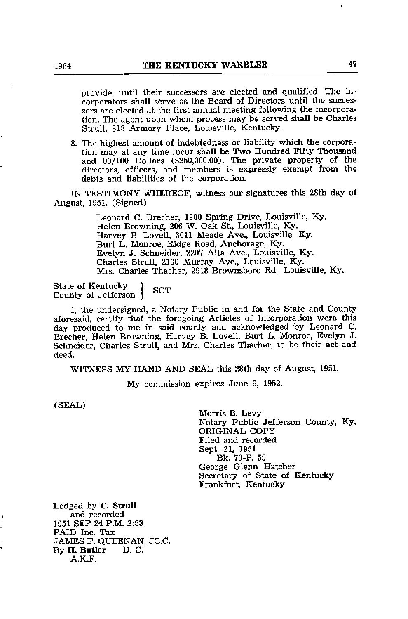provide, until their successors are elected and qualified. The incorporators shall serve as the Board of Directors until the succes sors are elected at the first annual meeting following the incorpora tion. The agent upon whom process may be served shall be Charles Strull, 318 Armory Place, Louisville, Kentucky.

8. The highest amount of indebtedness or liability which the corpora tion may at any time incur shall be Two Hundred Fifty Thousand and 00/100 Dollars (\$250,000.00). The private property of the directors, officers, and members is expressly exempt from the debts and liabilities of the corporation.

IN TESTIMONY WHEREOF, witness our signatures this 28th day of August, 1951. (Signed)

> Leonard C. Brecher, 1900 Spring Drive, Louisville, Ky. Helen Browning, 206 W. Oak St., Louisville, Ky. Harvey B. Lovell, 3011 Meade Ave., Louisville, Ky. Burt L. Monroe, Ridge Road, Anchorage, Ky. Evelyn J. Schneider, 2207 Alta Ave., Louisville, Ky. Charles Strull, 2100 Murray Ave., Louisville, Ky. Mrs. Charles Thacher, 2918 Brownsboro Rd., Louisville, Ky.

State of Kentucky State of Kentucky<br>County of Jefferson (SCT

I, the undersigned, a Notary Public in and for the State and County aforesaid, certify that the foregoing Articles of Incorporation were this day produced to me in said county and acknowledged-"by Leonard C. Brecher, Helen Browning, Harvey B. Lovell, Burt L. Monroe, Evelyn J. Schneider, Charles Strull, and Mrs. Charles Thacher, to be their act and deed.

WITNESS MY HAND AND SEAL this 28th day of August, 1951.

My commission expires June 9, 1952.

(SEAL)

ŧ

ì

Morris B. Levy Notary Public Jefferson County, Ky. ORIGINAL COPY Filed and recorded Sept. 21, 1951 Bk. 79-P. 59 George Glenn Hatcher Secretary of State of Kentucky Frankfort, Kentucky

Lodged by C. Strull and recorded 1951 SEP 24 P.M. 2:53 PAID Inc. Tax JAMES F. QUEENAN, JC.C. By H. Butler D. C. A.K.F.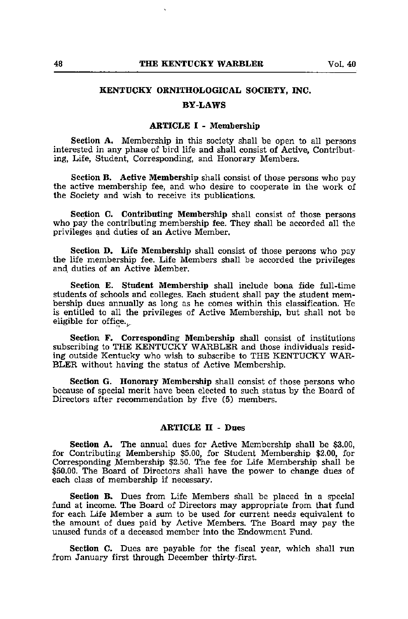# KENTUCKY ORNITHOLOGICAL SOCIETY, INC.

### BY-LAWS

### ARTICLE I - Membership

Section A. Membership in this society shall be open to all persons interested in any phase of bird life and shall consist of Active, Contribut ing, Life, Student, Corresponding, and Honorary Members.

Section B. Active Membership shall consist of those persons who pay the active membership fee, and who desire to cooperate in the work of the Society and wish to receive its publications.

Section C. Contributing Membership shall consist of those persons who pay the contributing membership fee. They shall be accorded all the privileges and duties of an Active Member.

Section D. Life Membership shall consist of those persons who pay the life membership fee. Life Members shall be accorded the privileges and duties of an Active Member.

Section E. Student Membership shall include bona fide full-time students of schools and colleges. Each student shall pay the student mem bership dues annually as long as he comes within this classification. He is entitled to all the privileges of Active Membership, but shall not be eligible for office...

Section F. Corresponding Membership shall consist of institutions subscribing to THE KENTUCKY WARBLER and those individuals residing outside Kentucky who wish to subscribe to THE KENTUCKY WAR BLER without having the status of Active Membership.

Section G. Honorary Membership shall consist of those persons who because of special merit have been elected to such status by the Board of Directors after recommendation by five (5) members.

# ARTICLE II - Dues

Section A. The annual dues for Active Membership shall be \$3.00, for Contributing Membership \$5.00, for Student Membership \$2.00, for Corresponding Membership \$2.50. ITie fee for Life Membership shall be \$50.00. The Board of Directors shall have the power to change dues of each class of membership if necessary.

Section B. Dues from Life Members shall be placed in a special fund at income. The Board of Directors may appropriate from that fund for each Life Member a siun to be used for current needs equivalent to the amount of dues paid by Active Members. The Board may pay the unused funds of <sup>a</sup> deceased member into the Endowment Fund.

Section C. Dues are payable for the fiscal year, which shall run from January first through December thirty-first.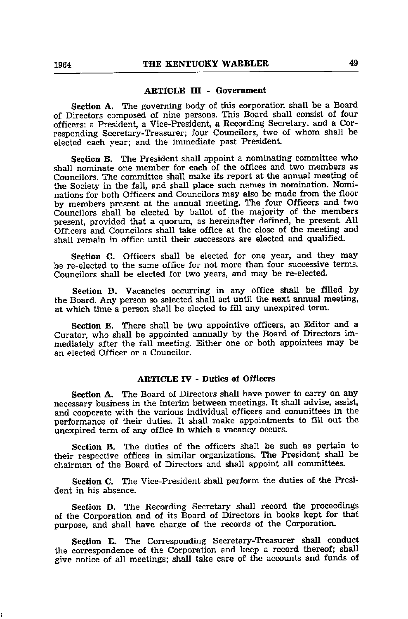### ARTICLE III - Government

Section A. The governing body of this corporation shall be a Board of Directors composed of nine persons. This Board shall consist of four officers: a President, a Vice-President, a Recording Secretary, and a Cor responding Secretary-Treasurer; four Councilors, two of whom shall be elected each year; and the immediate past President.

Section B. The President shall appoint a nominating committee who shall nominate one member for each of the offices and two members as Councilors. The committee shall make its report at the annual meeting of the Society in the fall, and shall place such names in nomination. Nomi nations for both Officers and Councilors may also be made from the floor by members present at the annual meeting. The four Officers and two Councilors shall be elected by ballot of the majority of the members present, provided that a quorum, as hereinafter defined, be present. All Officers and Councilors shall take office at the close of the meeting and shall remain in office until their successors are elected and qualified.

Section C. Officers shall be elected for one year, and they may be re-elected to the same office for not more than four successive terms. Councilors shall be elected for two years, and may be re-elected.

Section D. Vacancies occurring in any office shall be filled by the Board. Any person so selected shall act until the next annual meeting, at which time a person shall be elected to fill any unexpired term.

Section E. There shall be two appointive officers, an Editor and a Curator, who shall be appointed annually by the Board of Directors im mediately after the fall meeting. Either one or both appointees may be an elected Officer or <sup>a</sup> Councilor.

# ARTICLE IV - Duties of Officers

Section A. The Board of Directors shall have power to carry on any necessary business in the interim between meetings. It shall advise, assist, and cooperate with the various individual officers and committees in the performance of their duties. It shall make appointments to fill out the unexpired term of any office in which a vacancy occurs.

Section B. The duties of the officers shall be such as pertain to their respective offices in similar organizations. The President shall be chairman of the Board of Directors and shall appoint all committees.

Section C. The Vice-President shall perform the duties of the Presi dent in his absence.

Section D. The Recording Secretary shall record the proceedings of the Corporation and of its Board of Directors in books kept for that purpose, and shall have charge of the records of the Corporation.

Section E. The Corresponding Secretary-Treasurer shall conduct the correspondence of the Corporation and keep a record thereof; shall give notice of all meetings; shall take care of the accounts and funds of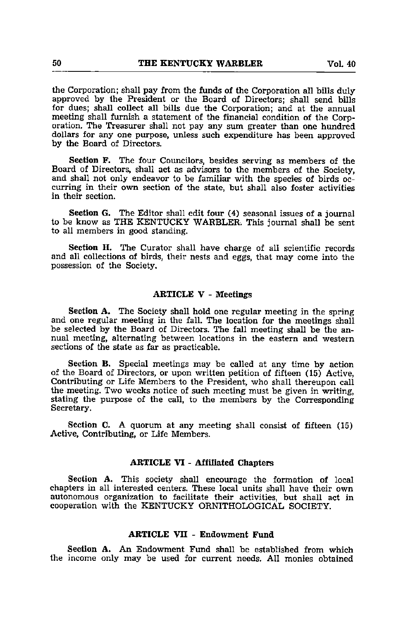the Corporation; shall pay from the funds of the Corporation all bills duly approved by the President or the Board of Directors; shall send bills for dues; shall collect all bills due the Corporation; and at the annual meeting shall furnish a statement of the financial condition of the Corp oration. The Treasurer shall not pay any sum greater than one hundred dollars for any one purpose, unless such expenditure has been approved by the Board of Directors.

Section F. The four Councilors, besides serving as members of the Board of Directors, shall act as advisors to the members of the Society, and shall not only endeavor to be familiar with the species of birds oc curring in their own section of the state, but shall also foster activities in their section.

Section G. The Editor shall edit four (4) seasonal issues of a journal to be know as THE KENTUCKY WARBLER. This journal shall be sent to all members in good standing.

Section H. The Curator shall have charge of all scientific records and all collections of birds, their nests and eggs, that may come into the possession of the Society.

# ARTICLE V - Meetings

Section A. The Society shall hold one regular meeting in the spring and one regular meeting in the fall. The location for the meetings shall be selected by the Board of Directors. The fall meeting shall be the an nual meeting, alternating between locations in the eastern and western sections of the state as far as practicable.

Section B. Special meetings may be called at any time by action of the Board of Directors, or upon written petition of fifteen (15) Active, Contributing or Life Members to the President, who shall thereupon call the meeting. Two weeks notice of such meeting must be given in writing, stating the purpose of the call, to the members by the Corresponding Secretary.

Section C. A quorum at any meeting shall consist of fifteen (15) Active, Contributing, or Life Members.

# ARTICLE VI - Affiliated Chapters

Section A. This society shall encourage the formation of local chapters in all interested centers. These local units shall have their own autonomous organization to facilitate their activities, but shall act in cooperation with the KENTUCKY ORNITHOLOGICAL SOCIETY.

# ARTICLE VII - Endowment Fund

Section A. An Endowment Fund shall be established from which the income only may be used for current needs. All monies obtained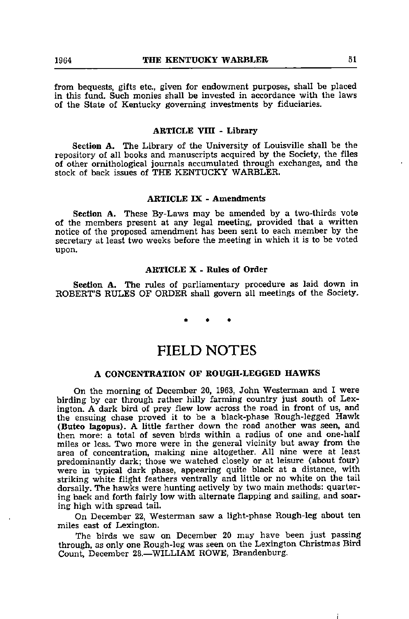from bequests, gifts etc., given for endowment purposes, shall be placed in this fund. Such monies shall be invested in accordance with the laws of the State of Kentucky governing investments by fiduciaries.

# ARTICLE VIII - Library

Section A. The Library of the University of Louisville shall be the repository of all books and manuscripts acquired by the Society, the files of other ornithological journals accumulated through exchanges, and the stock of back issues of THE KENTUCKY WARBLER.

# ARTICLE IX - Amendments

Section A. These By-Laws may be amended by a two-thirds vote of the members present at any legal meeting, provided that a written notice of the proposed amendment has been sent to each member by the secretary at least two weeks before the meeting in which it is to be voted upon.

# ARTICLE X • Rules of Order

Section A. The rules of parliamentary procedure as laid down in ROBERT'S RULES OF ORDER shall govern all meetings of the Society.

# FIELD NOTES

# A CONCENTRATION OF ROUGH-LEGGED HAWKS

On the morning of December 20, 1963, John Westerman and I were birding by car through rather hilly farming country just south of Lex ington. A dark bird of prey flew low across the road in front of us, and the ensuing chase proved it to be a black-phase Rough-legged Hawk (Buteo lagopus). A little farther down the road another was seen, and then more: a total of seven birds within a radius of one and one-half miles or less. Two more were in the general vicinity but away from the area of concentration, making nine altogether. All nine were at least predominantly dark; those we watched closely or at leisure (about four) were in typical dark phase, appearing quite black at a distance, with striking white flight feathers ventrally and little or no white on the tail dorsally. The hawks were hunting actively by two main methods: quarter ing back and forth fairly low with alternate flapping and sailing, and soar ing high with spread tail.

On December 22, Westerman saw a light-phase Rough-leg about ten miles east of Lexington.

The birds we saw on December 20 may have been just passing through, as only one Rough-leg was seen on the Lexington Christmas Bird Count, December 28.-WILLIAM ROWE, Brandenburg.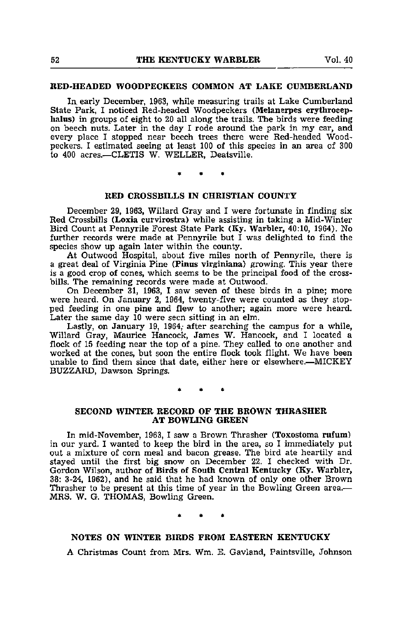# RED-HEADED WOODPECKERS COMMON AT LAKE CUMBERLAND

In early December, 1963, while measuring trails at Lake Cumberland State Park, I noticed Red-headed Woodpeckers (Melanerpes erythrocephalus) in groups of eight to 20 all along the trails. The birds were feeding on beech nuts. Later in the day I rode around the park in my car, and every place I stopped near beech trees there were Red-headed Wood peckers. I estimated seeing at least 100 of this species in an area of 300 to 400 acres.—CLETIS W. WELLER, Deatsville.

# RED CROSSBILLS IN CHRISTIAN COUNTY

December 29, 1963, Willard Gray and I were fortunate in finding six Red Crossbills (Loxia curvirostra) while assisting in taking a Mid-Winter Bird Count at Pennyrile Forest State Park (Ky. Warbler, 40:10, 1964). No further records were made at Pennyrile but I was delighted to find the species show up again later within the county.

At Outwood Hospital, about five miles north of Pennyrile, there is a great deal of Virginia Pine (Finus virginiana) growing. This year there is a good crop of cones, which seems to be the principal food of the cross bills. The remaining records were made at Outwood.

On December 31, 1963, I saw seven of these birds in a pine; more were heard. On January 2, 1964, twenty-five were counted as they stop ped feeding in one pine and flew to another; again more were heard. Later the same day 10 were seen sitting in an elm.

Lastly, on January 19, 1964, after searching the campus for a while, Willard Gray, Maurice Hancock, James W. Hancock, and I located a flock of 15 feeding near the top of a pine. They called to one another and worked at the cones, but soon the entire flock took flight. We have been unable to find them since that date, either here or elsewhere.—MICKEY BUZZARD, Dawson Springs.

# SECOND WINTER RECORD OF THE BROWN THRASHER AT BOWLING GREEN

In mid-November, 1963, I saw a Brown Thrasher (Toxostoma rufum) in our yard. I wanted to keep the bird in the area, so I immediately put out a mixture of corn meal and bacon grease. The bird ate heartily and stayed until the first big snow on December 22. I checked with Dr. Gordon Wilson, author of Birds of South Central Kentucky (Ky. Warbler, 38: 3-24, 1962), and he said that he had known of only one other Brown Thrasher to be present at this time of year in the Bowling Green area.— MRS. W. G. THOMAS, Bowling Green.

# NOTES ON WINTER BIRDS FROM EASTERN KENTUCKY

A Christmas Count from Mrs. Wm. E. Gavland, Paintsville, Johnson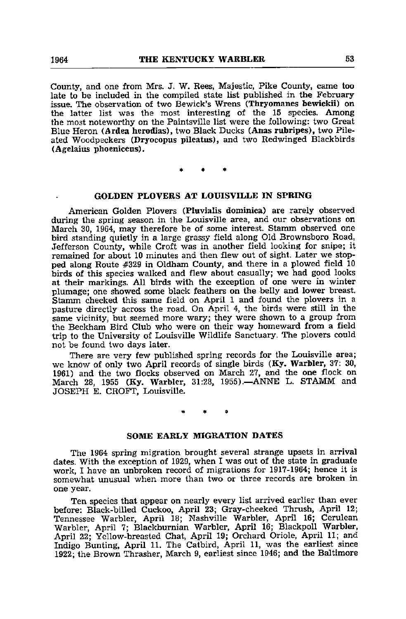County, and one from Mrs. J. W. Rees, Majestic, Pike County, came too late to be included in the compiled state list published in the February issue. The observation of two Bewick's Wrens (Thryomanes bewickii) on the latter list was the most interesting of the 15 species. Among the most noteworthy on the Paintsville list were the following: two Great Blue Heron (Ardea herodias), two Black Ducks (Anas rubripes), two Pileated Woodpeckers (Dryocopus pileatus), and two Redwinged Blackbirds (Agelaius phoeniceus).

# GOLDEN PLOVERS AT LOUISVILLE IN SPRING

American Golden Plovers (Pluvialis dominica) are rarely observed during the spring season in the Louisville area, and our observations on March 30, 1964, may therefore be of some interest. Stamm observed one bird standing quietly in a large grassy field along Old Brownsboro Road, Jefferson County, while Croft was in another field looking for snipe; it remained for about 10 minutes and then flew out of sight. Later we stop ped along Route #329 in Oldham County, and there in a plowed field 10 birds of this species walked and flew about casually; we had good looks at their markings. All birds with the exception of one were in winter plumage; one showed some black feathers on the belly and lower breast. Stamm checked this same field on April 1 and found the plovers in a pasture directly across the road. On April 4, the birds were still in the pasture directly across the road. On April 4, the birds were still in the same vicinity, but seemed more wary; they were shown to a group from the Beckham Bird Club who were on their way homeward from a field trip to the University of Louisville Wildlife Sanctuary. The plovers could not be found two days later.

There are very few published spring records for the Louisville area; we know of only two April records of single birds (Ky. Warbler, 37: 30, 1961) and the two flocks observed on March 27, and the one flock on March 28, 1955 (Ky. Warbler, 31:28, 1955).—ANNE L. STAMM and JOSEPH E. CROFT, Louisville.

## SOME EARLY MIGRATION DATES

The 1964 spring migration brought several strange upsets in arrival dates. With the exception of 1929, when I was out of the state in graduate work, I have an unbroken record of migrations for 1917-1964; hence it is somewhat unusual when more than two or three records are broken in one year.

Ten species that appear on nearly every list arrived earlier than ever before: Black-billed Cuckoo, April 23; Gray-cheeked Thrush, April 12; Tennessee Warbler, April 18; Nashville Warbler, April 16; Cerulean Warbler, April 7; Blackburnian Warbler, April 16; Blackpoll Warbler, April 22; Yellow-breasted Chat, April 19; Orchard Oriole, April 11; and Indigo Bunting, April 11. The Catbird, April 11, was the earliest since 1922; the Brown Thrasher, March 9, earliest since 1946; and the Baltimore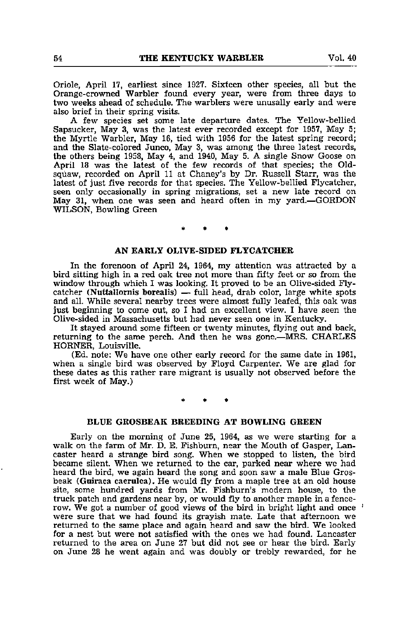Oriole, April 17, earliest since 1927. Sixteen other species, all but the Orange-crowned Warbler found every year, were from three days to two weeks ahead of schedule. The warblers were unusally early and were also brief in their spring visits.

A few species set some late departure dates. The Yellow-bellied Sapsucker, May 3, was the latest ever recorded except for 1957, May 5; the Myrtle Warbler, May 16, tied with 1956 for the latest spring record; and the Slate-colored Junco, May 3, was among the three latest records, the others being 1958, May 4, and 1940, May 5. A single Snow Goose on April 18 was the latest of the few records of that species; the Oldsquaw, recorded on April 11 at Chaney's by Dr. Russell Starr, was the latest of just five records for that species. The Yellow-bellied Flycatcher, seen only occasionally in spring migrations, set a new late record on May 31, when one was seen and heard often in my yard.—GORDON WILSON, Bowling Green

# AN EARLY OLIVE-SIDED FLYCATCHER

In the forenoon of April 24, 1964, my attention was attracted by a bird sitting high in a red oak tree not more than fifty feet or so from the window through which I was looking. It proved to be an Olive-sided Fly catcher (Nuttallornis borealis) — full head, drab color, large white spots and all. While several nearby trees were almost fully leafed, this oak was just beginning to come out, so I had an excellent view. I have seen the Olive-sided in Massachusetts but had never seen one in Kentucky.

It stayed around some fifteen or twenty minutes, flying out and back, returning to the same perch. And then he was gone.—MRS. CHARLES HORNER, Louisville.

(Ed. note: We have one other early record for the same date in 1961, when a single bird was observed by Floyd Carpenter. We are glad for these dates as this rather rare migrant is usually not observed before the first week of May.)

# BLUE GROSBEAK BREEDING AT BOWLING GREEN

Early on the morning of June 25, 1964, as we were starting for a walk on the farm of Mr. D. E. Fishbum, near the Mouth of Gasper, Lan caster heard a strange bird song. When we stopped to listen, the bird became silent. When we returned to the car, parked near where we had heard the bird, we again heard the song and soon saw a male Blue Gros beak (Guiraca caerulca). He would fly from a maple tree at an old house site, some hundred yards from Mr. Fishburn's modern house, to the truck patch and gardens near by, or would fly to another maple in a fencerow. We got a number of good views of the bird in bright light and once  $\pm$ were sure that we had found its grayish mate. Late that afternoon we returned to the same place and again heard and saw the bird. We looked for <sup>a</sup> nest but were not satisfied with the ones we had found. Lancaster returned to the area on June 27 but did not see or hear the bird. Early on June 28 he went again and was doubly or trebly rewarded, for he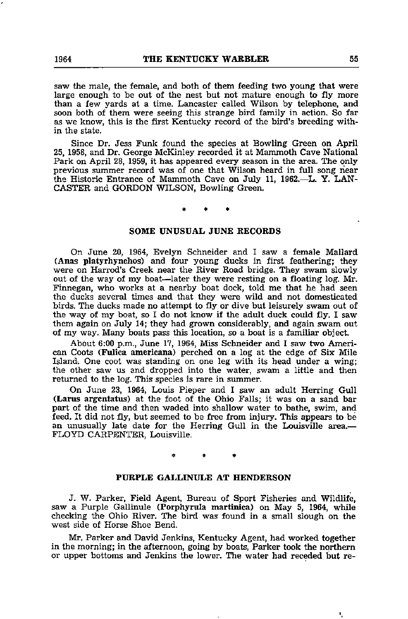saw the male, the female, and both of them feeding two young that were large enough to be out of the nest but not mature enough to fly more than a few yards at a time. Lancaster called Wilson by telephone, and soon both of them were seeing this strange bird family in action. So far as we know, this is the first Kentucky record of the bird's breeding with in the state.

Since Dr. Jess Funk found the species at Bowling Green on April 25, 1958, and Dr. George McKinley recorded it at Mammoth Cave National Park on April 28, 1959, it has appeared every season in the area. The only previous summer record was of one that Wilson heard in full song near the Historic Entrance of Mammoth Cave on July 11, 1962.—L. Y. LAN-CASTER and GORDON WILSON, Bowling Green.

# SOME UNUSUAL JUNE RECORDS

On June 20, 1964, Evelyn Schneider and I saw a female Mallard (Anas platyrhynchos) and four young ducks in first feathering; they were on Harrod's Creek near the River Road bridge. They swam slowly out of the way of my boat—later they were resting on a floating log. Mr. Finnegan, who works at a nearby boat dock, told me that he had seen the ducks several times and that they were wild and not domesticated birds. The ducks made no attempt to fly or dive but leisurely swam out of the way of my boat, so I do not know if the adult duck could fly. I saw them again on July 14; they had grown considerably, and again swam out of ray way. Many boats pass this location, so a boat is a familiar object.

About 6:00 p.m., June 17, 1964, Miss Schneider and I saw two Ameri can Coots (Fulica americana) perched on a log at the edge of Six Mile Island. One coot was standing on one leg with its head under a wing; the other saw us and dropped into the water, swam a little and then returned to the log. This species is rare in summer.

On June 23, 1964, Louis Pieper and I saw an adult Herring Gull (Lams argentatus) at the foot of the Ohio Falls; it was on a sand bar part of the time and then waded into shallow water to bathe, swim, and feed. It did not fly, but seemed to be free from injury. This appears to be an unusually late date for the Herring Gull in the Louisville area.— FLOYD CARPENTER, Louisville.

# PURPLE GALLINULE AT HENDERSON

J. W. Parker, Field Agent, Bureau of Sport Fisheries and Wildlife, saw a Purple Gallinule (Porphyrula martinica) on May 5, 1964, while checking the Ohio River. The bird was found in a small slough on the west side of Horse Shoe Bend.

Mr. Parker and David Jenkins, Kentucky Agent, had worked together in the morning; in the afternoon, going by boats, Parker took the northern or upper bottoms and Jenkins the lower. The water had receded but re-

 $\mathbf{r}_i$